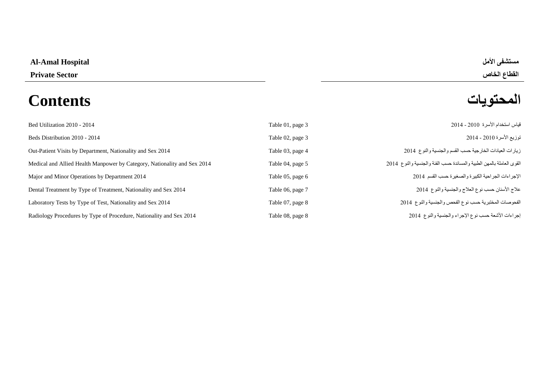## **Al-Amal Hospital األمل مستشفى**

# القطاع الخاص القطاعة الخاص المسلم المسلم المسلم المسلم المسلم المسلم المسلم المسلم المسلم المسلم التي يتعلق الخ<br>المحتويات المسلم المسلم المسلم المسلم المسلم المسلم المسلم المسلم المسلم المسلم المسلم المسلم المسلم المسلم ا **المحتويات Contents**

| Bed Utilization 2010 - 2014                                              | Table 01, page 3 | قياس استخدام الأسرة 2010 - 2014                                      |
|--------------------------------------------------------------------------|------------------|----------------------------------------------------------------------|
| Beds Distribution 2010 - 2014                                            | Table 02, page 3 | توزيع الأسرة 2010 - 2014                                             |
| Out-Patient Visits by Department, Nationality and Sex 2014               | Table 03, page 4 | زيارات العيادات الخارجية حسب القسم والجنسية والنوع 2014              |
| Medical and Allied Health Manpower by Category, Nationality and Sex 2014 | Table 04, page 5 | القوى العاملة بالمهن الطبية والمساندة حسب الفئة والجنسية والنوع 2014 |
| Major and Minor Operations by Department 2014                            | Table 05, page 6 | الإجراءات الجراحية الكبيرة والصغيرة حسب القسم 2014                   |
| Dental Treatment by Type of Treatment, Nationality and Sex 2014          | Table 06, page 7 | علاج الأسنان حسب نوع العلاج والجنسية والنوع 2014                     |
| Laboratory Tests by Type of Test, Nationality and Sex 2014               | Table 07, page 8 | الفحوصات المختبرية حسب نوع الفحص والجنسية والنوع 2014                |
| Radiology Procedures by Type of Procedure, Nationality and Sex 2014      | Table 08, page 8 | إجراءات الأشعة حسب نوع الإجراء والجنسية والنوع 2014                  |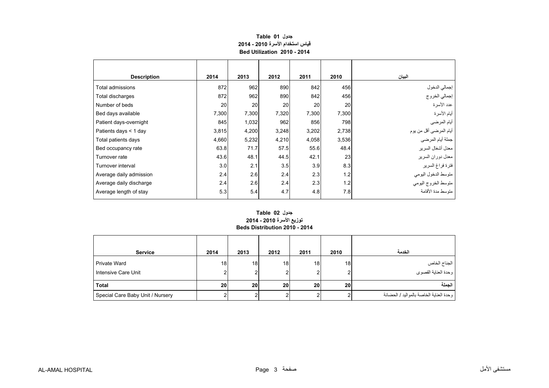### **جدول 01 Table قياس استخدام األسرة 2010 - 2014 Bed Utilization 2010 - 2014**

<span id="page-1-0"></span>

| <b>Description</b>      | 2014  | 2013  | 2012  | 2011  | 2010  | البيان                  |
|-------------------------|-------|-------|-------|-------|-------|-------------------------|
| Total admissions        | 872   | 962   | 890   | 842   | 456   | إجمالي الدخول           |
| Total discharges        | 872   | 962   | 890   | 842   | 456   | إجمالي الخروج           |
| Number of beds          | 20    | 20    | 20    | 20    | 20    | عدد الأسرة              |
| Bed days available      | 7,300 | 7,300 | 7,320 | 7,300 | 7,300 | أيام الأسرة             |
| Patient days-overnight  | 845   | 1,032 | 962   | 856   | 798   | أيام المرضي             |
| Patients days $<$ 1 day | 3,815 | 4,200 | 3,248 | 3,202 | 2,738 | أيام المرضىي أقل من يوم |
| Total patients days     | 4,660 | 5,232 | 4,210 | 4,058 | 3,536 | جملة أيام المرضى        |
| Bed occupancy rate      | 63.8  | 71.7  | 57.5  | 55.6  | 48.4  | معدل أشغال السرير       |
| Turnover rate           | 43.6  | 48.1  | 44.5  | 42.1  | 23    | معدل دوران السرير       |
| Turnover interval       | 3.0   | 2.1   | 3.5   | 3.9   | 8.3   | فترة فراغ السرير        |
| Average daily admission | 2.4   | 2.6   | 2.4   | 2.3   | 1.2   | متوسط الدخول اليومي     |
| Average daily discharge | 2.4   | 2.6   | 2.4   | 2.3   | 1.2   | متوسط الخروج اليومي     |
| Average length of stay  | 5.3   | 5.4   | 4.7   | 4.8   | 7.8   | متوسط مدة الأقامة       |

#### **توزيع األسرة 2010 - 2014 Beds Distribution 2010 - 2014 جدول 02 Table**

| <b>Service</b>                             | 2014 | 2013 | 2012         | 2011    | 2010            | الخدمة                                  |
|--------------------------------------------|------|------|--------------|---------|-----------------|-----------------------------------------|
| <b>Private Ward</b><br>Intensive Care Unit | 18   | 18   | 18<br>ົ<br>۷ | 18<br>ົ | 18              | الجناح الخاص<br>وحدة العناية القصوى     |
| <b>Total</b>                               | 20   | 20   | 20           | 20      | 20 <sub>1</sub> | الحملة                                  |
| Special Care Baby Unit / Nursery           |      |      | ົ            |         |                 | وحدة العناية الخاصة بالمواليد / الحضانة |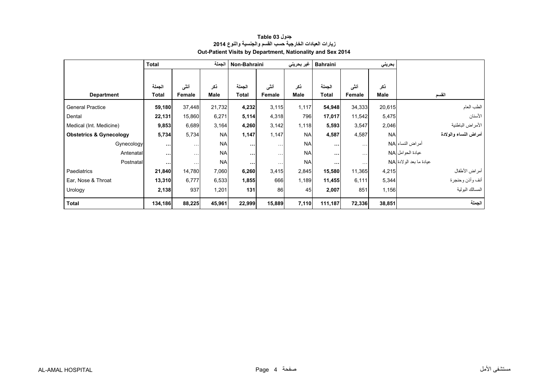<span id="page-2-0"></span>

|                                    | <b>Total</b> |                      | الجملة      | Non-Bahraini |                      | غير بحريني | <b>Bahraini</b> |                      | بحريني      |                          |
|------------------------------------|--------------|----------------------|-------------|--------------|----------------------|------------|-----------------|----------------------|-------------|--------------------------|
|                                    |              |                      |             |              |                      |            |                 |                      |             |                          |
|                                    | الجملة       | أننى                 | ذكر         | الجملة       | أننى                 | ذكر        | الجملة          | أنشى                 | نكر         |                          |
| <b>Department</b>                  | <b>Total</b> | Female               | <b>Male</b> | <b>Total</b> | Female               | Male       | Total           | Female               | <b>Male</b> | القسم                    |
| <b>General Practice</b>            | 59,180       | 37,448               | 21,732      | 4,232        | 3,115                | 1,117      | 54,948          | 34,333               | 20,615      | الطب العام               |
| Dental                             | 22,131       | 15,860               | 6,271       | 5,114        | 4,318                | 796        | 17,017          | 11,542               | 5,475       | الأسنان                  |
| Medical (Int. Medicine)            | 9,853        | 6,689                | 3,164       | 4,260        | 3,142                | 1,118      | 5,593           | 3,547                | 2,046       | الأمراض الباطنية         |
| <b>Obstetrics &amp; Gynecology</b> | 5,734        | 5,734                | <b>NA</b>   | 1,147        | 1,147                | <b>NA</b>  | 4,587           | 4,587                | <b>NA</b>   | أمراض النساء والولادة    |
| Gynecology                         | $\cdots$     | $\ddotsc$            | <b>NA</b>   | $\cdots$     | $\sim$ $\sim$ $\sim$ | <b>NA</b>  | $\cdots$        | $\sim$ $\sim$ $\sim$ |             | أمراض النساء NA          |
| Antenatal                          | $\cdots$     | $\cdots$             | <b>NA</b>   | $\cdots$     | $\cdots$             | <b>NA</b>  | $\cdots$        | $\cdots$             |             | عيادة الحوامل NA         |
| Postnatal                          | $\cdots$     | $\sim$ $\sim$ $\sim$ | <b>NA</b>   | $\cdots$     | $\sim$ $\sim$ $\sim$ | <b>NA</b>  | $\cdots$        | $\sim$ $\sim$        |             | عيادة ما بعد الو لادة NA |
| Paediatrics                        | 21,840       | 14,780               | 7,060       | 6,260        | 3,415                | 2,845      | 15,580          | 11,365               | 4,215       | أمراض الأطفال            |
| Ear, Nose & Throat                 | 13,310       | 6,777                | 6,533       | 1,855        | 666                  | 1,189      | 11,455          | 6,111                | 5,344       | أنف وأذن وحنجرة          |
| Urology                            | 2,138        | 937                  | 1,201       | 131          | 86                   | 45         | 2,007           | 851                  | 1,156       | المسالك البولية          |
| <b>Total</b>                       | 134,186      | 88,225               | 45,961      | 22,999       | 15,889               | 7,110      | 111,187         | 72,336               | 38,851      | الجملة                   |

#### **جدول 03 Table زيارات العيادات الخارجية حسب القسم والجنسية والنوع <sup>2014</sup> Out-Patient Visits by Department, Nationality and Sex 2014**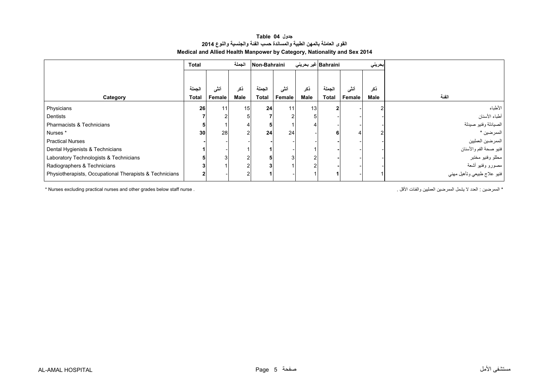#### **جدول 04 Table القوى العاملة بالمھن الطبية والمساندة حسب الفئة والجنسية والنوع <sup>2014</sup> Medical and Allied Health Manpower by Category, Nationality and Sex 2014**

<span id="page-3-0"></span>

|                                                         | <b>Total</b> |        | الجملة | Non-Bahraini |                |               | Bahraini غیر بحرینی | بحريني |             |                                                 |
|---------------------------------------------------------|--------------|--------|--------|--------------|----------------|---------------|---------------------|--------|-------------|-------------------------------------------------|
|                                                         |              |        |        |              |                |               |                     |        |             |                                                 |
|                                                         | الجملة       | أننى   | ذكر    | الجملة       | أنشى           | ذكر           | الجملة              | أنشى   | ذكر         |                                                 |
| Category                                                | <b>Total</b> | Female | Male   | <b>Total</b> | Female         | Male          | <b>Total</b>        | Female | <b>Male</b> | الفنة                                           |
| Physicians                                              | 26           | 11     | 15     | 24           | 11             | 13            |                     |        |             | الأطباء                                         |
| Dentists                                                |              |        |        |              | $\overline{2}$ |               |                     |        |             | أطباء الأسنان                                   |
| Pharmacists & Technicians                               |              |        |        |              |                |               |                     |        |             | الصيادلة وفنيو صيدلة                            |
| Nurses*                                                 | 30           | 28     |        | 24           | 24             |               |                     |        |             | الممرضين *                                      |
| <b>Practical Nurses</b>                                 |              |        |        |              |                |               |                     |        |             | الممرضين العمليين                               |
| Dental Hygienists & Technicians                         |              |        |        |              |                |               |                     |        |             | فنيو صحة الفم والأسنان                          |
| Laboratory Technologists & Technicians                  |              | З      |        |              | 3              | $\sqrt{2}$    |                     |        |             | مطلو وفنيو مختبر                                |
| Radiographers & Technicians                             |              |        |        |              |                | $\mathcal{P}$ |                     |        |             | مصورو وفنيو أشعة<br>فنيو علاج طبيعي وتأهيل مهني |
| Physiotherapists, Occupational Therapists & Technicians |              |        |        |              |                |               |                     |        |             |                                                 |

\* الممرضين : الحدد لا يثمل الممرضين العمليين والفئات الأقل . . `` العمليين والفئات الأقل معليين والفئات الأقل و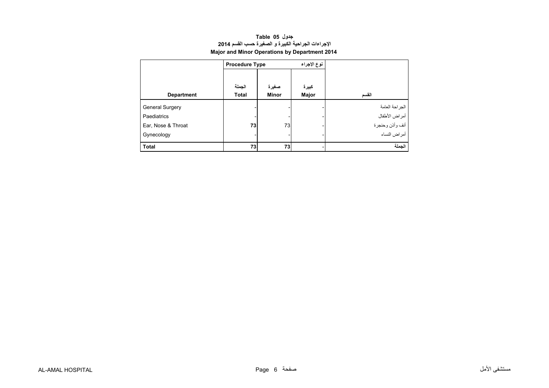| جدول Table 05                                        |
|------------------------------------------------------|
| الإجراءات الجراحية الكبيرة و الصغيرة حسب القسم 2014  |
| <b>Major and Minor Operations by Department 2014</b> |

<span id="page-4-0"></span>

|                        | <b>Procedure Type</b> |              | نوع الإجراء |                 |
|------------------------|-----------------------|--------------|-------------|-----------------|
|                        |                       |              |             |                 |
|                        | الجملة                | صغيرة        | كبيرة       |                 |
| <b>Department</b>      | <b>Total</b>          | <b>Minor</b> | Major       | القسم           |
| <b>General Surgery</b> |                       |              |             | الجر احة العامة |
| Paediatrics            |                       |              |             | أمراض الأطفال   |
| Ear, Nose & Throat     | 73                    | 73           |             | أنف وأذن وحنجرة |
| Gynecology             |                       |              |             | أمراض النساء    |
| <b>Total</b>           | 73                    | 73           |             | الجملة          |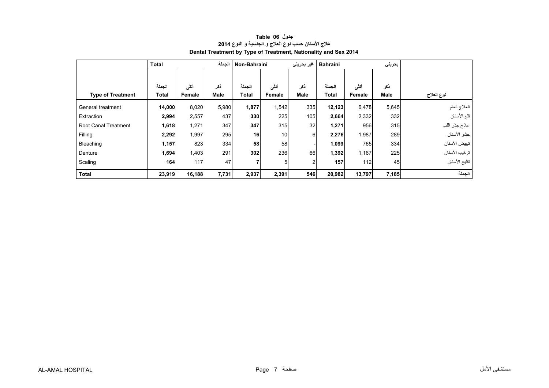<span id="page-5-0"></span>

|                             | Total        |        | الجملة      | Non-Bahraini |        | غیر بحرینی     | بحرينى<br><b>Bahraini</b> |        |       |               |
|-----------------------------|--------------|--------|-------------|--------------|--------|----------------|---------------------------|--------|-------|---------------|
|                             |              |        |             |              |        |                |                           |        |       |               |
|                             | الجملة       | أنشى   | ذكر         | الجملة       | أننى   | ذكر            | الجملة                    | أنشى   | ذكر   |               |
| <b>Type of Treatment</b>    | <b>Total</b> | Female | <b>Male</b> | <b>Total</b> | Female | <b>Male</b>    | <b>Total</b>              | Female | Male  | نوع العلاج    |
| General treatment           | 14,000       | 8,020  | 5,980       | 1,877        | 1,542  | 335            | 12,123                    | 6,478  | 5,645 | العلاج العام  |
| Extraction                  | 2,994        | 2,557  | 437         | 330          | 225    | 105            | 2,664                     | 2,332  | 332   | قلع الأسنان   |
| <b>Root Canal Treatment</b> | 1,618        | 1,271  | 347         | 347          | 315    | 32             | 1,271                     | 956    | 315   | علاج جذر اللب |
| Filling                     | 2,292        | 1,997  | 295         | 16           | 10     | 6              | 2,276                     | 1,987  | 289   | حشو الأسنان   |
| Bleaching                   | 1,157        | 823    | 334         | 58           | 58     |                | 1,099                     | 765    | 334   | تبييض الأسنان |
| Denture                     | 1,694        | 1,403  | 291         | 302          | 236    | 66             | 1,392                     | 1,167  | 225   | تركيب الأسنان |
| Scaling                     | 164          | 117    | 47          |              | 5      | $\overline{2}$ | 157                       | 112    | 45    | تقليح الأسنان |
| <b>Total</b>                | 23,919       | 16,188 | 7,731       | 2,937        | 2,391  | 546            | 20,982                    | 13,797 | 7,185 | الجملة        |

#### **جدول 06 Table عالج األسنان حسب نوع العالج <sup>و</sup> الجنسية <sup>و</sup> النوع <sup>2014</sup> Dental Treatment by Type of Treatment, Nationality and Sex 2014**